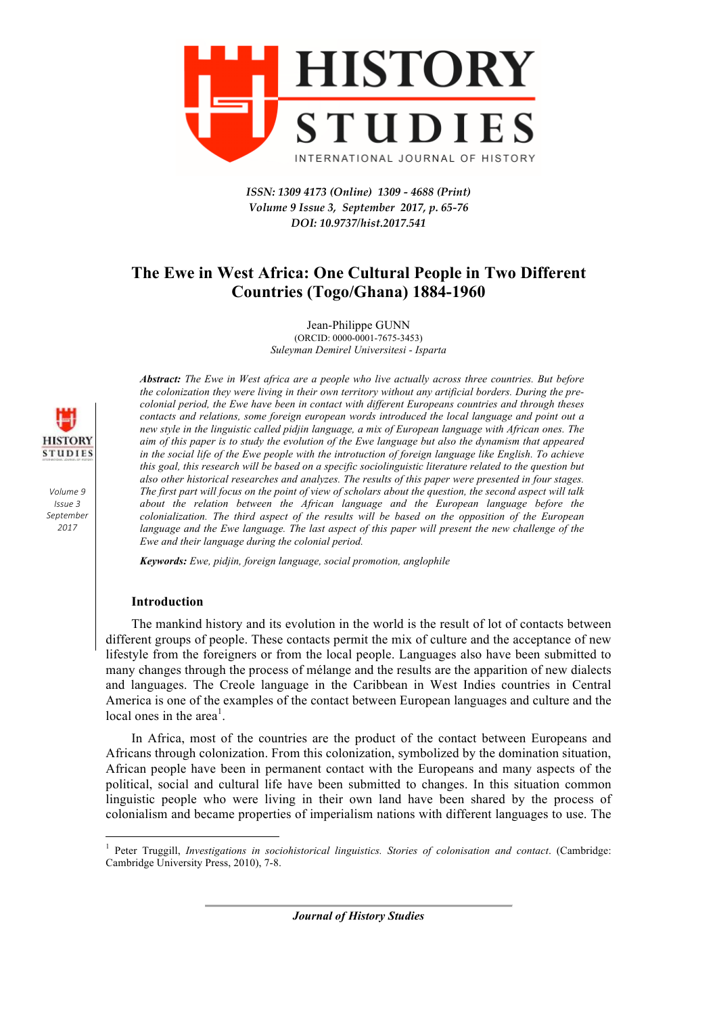

*ISSN: 1309 4173 (Online) 1309 - 4688 (Print) Volume 9 Issue 3, September 2017, p. 65-76 DOI: 10.9737/hist.2017.541*

# **The Ewe in West Africa: One Cultural People in Two Different Countries (Togo/Ghana) 1884-1960**

Jean-Philippe GUNN (ORCID: 0000-0001-7675-3453) *Suleyman Demirel Universitesi - Isparta*



*Volume 9 Issue 3 September 2017*

*Abstract: The Ewe in West africa are a people who live actually across three countries. But before the colonization they were living in their own territory without any artificial borders. During the precolonial period, the Ewe have been in contact with different Europeans countries and through theses contacts and relations, some foreign european words introduced the local language and point out a new style in the linguistic called pidjin language, a mix of European language with African ones. The aim of this paper is to study the evolution of the Ewe language but also the dynamism that appeared in the social life of the Ewe people with the introtuction of foreign language like English. To achieve this goal, this research will be based on a specific sociolinguistic literature related to the question but also other historical researches and analyzes. The results of this paper were presented in four stages. The first part will focus on the point of view of scholars about the question, the second aspect will talk about the relation between the African language and the European language before the colonialization. The third aspect of the results will be based on the opposition of the European language and the Ewe language. The last aspect of this paper will present the new challenge of the Ewe and their language during the colonial period.* 

*Keywords: Ewe, pidjin, foreign language, social promotion, anglophile*

#### **Introduction**

<u> 1989 - Johann Barn, mars ann an t-Amhain an t-Amhain an t-Amhain an t-Amhain an t-Amhain an t-Amhain an t-Amh</u>

The mankind history and its evolution in the world is the result of lot of contacts between different groups of people. These contacts permit the mix of culture and the acceptance of new lifestyle from the foreigners or from the local people. Languages also have been submitted to many changes through the process of mélange and the results are the apparition of new dialects and languages. The Creole language in the Caribbean in West Indies countries in Central America is one of the examples of the contact between European languages and culture and the local ones in the area<sup>1</sup>.

In Africa, most of the countries are the product of the contact between Europeans and Africans through colonization. From this colonization, symbolized by the domination situation, African people have been in permanent contact with the Europeans and many aspects of the political, social and cultural life have been submitted to changes. In this situation common linguistic people who were living in their own land have been shared by the process of colonialism and became properties of imperialism nations with different languages to use. The

<sup>1</sup> Peter Truggill, *Investigations in sociohistorical linguistics. Stories of colonisation and contact*. (Cambridge: Cambridge University Press, 2010), 7-8.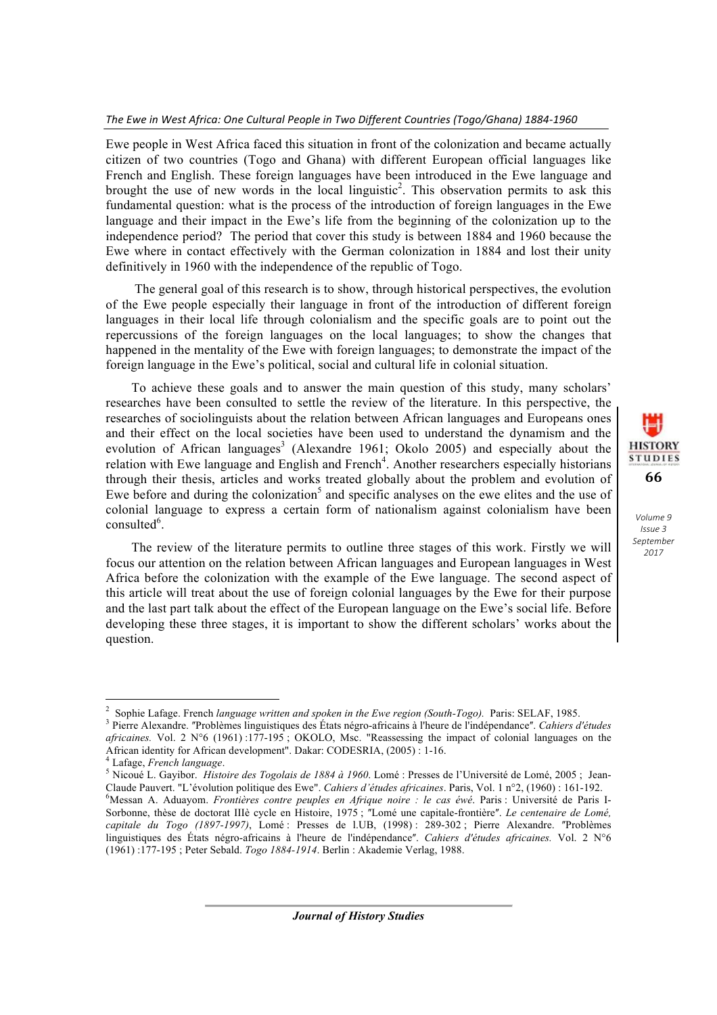## The Ewe in West Africa: One Cultural People in Two Different Countries (Togo/Ghana) 1884-1960

Ewe people in West Africa faced this situation in front of the colonization and became actually citizen of two countries (Togo and Ghana) with different European official languages like French and English. These foreign languages have been introduced in the Ewe language and brought the use of new words in the local linguistic<sup>2</sup>. This observation permits to ask this fundamental question: what is the process of the introduction of foreign languages in the Ewe language and their impact in the Ewe's life from the beginning of the colonization up to the independence period? The period that cover this study is between 1884 and 1960 because the Ewe where in contact effectively with the German colonization in 1884 and lost their unity definitively in 1960 with the independence of the republic of Togo.

The general goal of this research is to show, through historical perspectives, the evolution of the Ewe people especially their language in front of the introduction of different foreign languages in their local life through colonialism and the specific goals are to point out the repercussions of the foreign languages on the local languages; to show the changes that happened in the mentality of the Ewe with foreign languages; to demonstrate the impact of the foreign language in the Ewe's political, social and cultural life in colonial situation.

To achieve these goals and to answer the main question of this study, many scholars' researches have been consulted to settle the review of the literature. In this perspective, the researches of sociolinguists about the relation between African languages and Europeans ones and their effect on the local societies have been used to understand the dynamism and the evolution of African languages<sup>3</sup> (Alexandre 1961; Okolo 2005) and especially about the relation with Ewe language and English and French<sup>4</sup>. Another researchers especially historians through their thesis, articles and works treated globally about the problem and evolution of Ewe before and during the colonization<sup>5</sup> and specific analyses on the ewe elites and the use of colonial language to express a certain form of nationalism against colonialism have been consulted<sup>6</sup>.

The review of the literature permits to outline three stages of this work. Firstly we will focus our attention on the relation between African languages and European languages in West Africa before the colonization with the example of the Ewe language. The second aspect of this article will treat about the use of foreign colonial languages by the Ewe for their purpose and the last part talk about the effect of the European language on the Ewe's social life. Before developing these three stages, it is important to show the different scholars' works about the question.

<u> 1989 - Johann Barn, mars ann an t-Amhain an t-Amhain an t-Amhain an t-Amhain an t-Amhain an t-Amhain an t-Amh</u>

*Journal of History Studies*



<sup>2</sup>

Sophie Lafage. French language written and spoken in the Ewe region (South-Togo). Paris: SELAF, 1985. Pierre Alexandre. "Problèmes linguistiques des États négro-africains à l'heure de l'indépendance". Cahiers d'études *africaines.* Vol. 2 N°6 (1961) :177-195 ; OKOLO, Msc. "Reassessing the impact of colonial languages on the African identity for African development". Dakar: CODESRIA, (2005) : 1-16.

<sup>&</sup>lt;sup>4</sup> Lafage, French language.<br><sup>5</sup> Nicoué L. Gavibor. *Histoire des Togolais de 1884 à 1960*. Lomé : Presses de l'Université de Lomé, 2005 ; Jean-Claude Pauvert. "L'évolution politique des Ewe". *Cahiers d'études africaines*. Paris, Vol. 1 n°2, (1960) : 161-192. 6 Messan A. Aduayom. *Frontières contre peuples en Afrique noire : le cas éwé*. Paris : Université de Paris I-

Sorbonne, thèse de doctorat IIIè cycle en Histoire, 1975 ; <sup>"</sup>Lomé une capitale-frontière". *Le centenaire de Lomé*, *capitale du Togo (1897-1997)*, Lomé : Presses de l.UB, (1998) : 289-302 ; Pierre Alexandre. ʺProblèmes linguistiques des États négro-africains à l'heure de l'indépendance". *Cahiers d'études africaines*. Vol. 2 N°6 (1961) :177-195 ; Peter Sebald. *Togo 1884-1914*. Berlin : Akademie Verlag, 1988.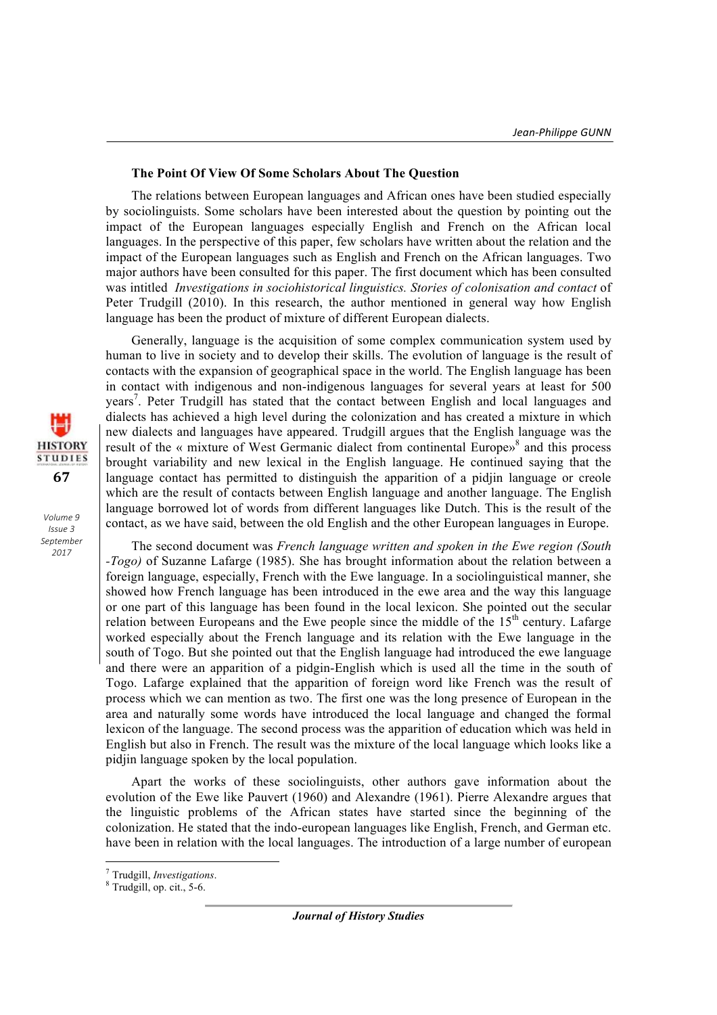#### **The Point Of View Of Some Scholars About The Question**

The relations between European languages and African ones have been studied especially by sociolinguists. Some scholars have been interested about the question by pointing out the impact of the European languages especially English and French on the African local languages. In the perspective of this paper, few scholars have written about the relation and the impact of the European languages such as English and French on the African languages. Two major authors have been consulted for this paper. The first document which has been consulted was intitled *Investigations in sociohistorical linguistics. Stories of colonisation and contact* of Peter Trudgill (2010). In this research, the author mentioned in general way how English language has been the product of mixture of different European dialects.

Generally, language is the acquisition of some complex communication system used by human to live in society and to develop their skills. The evolution of language is the result of contacts with the expansion of geographical space in the world. The English language has been in contact with indigenous and non-indigenous languages for several years at least for 500 years<sup>7</sup>. Peter Trudgill has stated that the contact between English and local languages and dialects has achieved a high level during the colonization and has created a mixture in which new dialects and languages have appeared. Trudgill argues that the English language was the result of the « mixture of West Germanic dialect from continental Europe»<sup>8</sup> and this process brought variability and new lexical in the English language. He continued saying that the language contact has permitted to distinguish the apparition of a pidjin language or creole which are the result of contacts between English language and another language. The English language borrowed lot of words from different languages like Dutch. This is the result of the contact, as we have said, between the old English and the other European languages in Europe.

The second document was *French language written and spoken in the Ewe region (South -Togo)* of Suzanne Lafarge (1985). She has brought information about the relation between a foreign language, especially, French with the Ewe language. In a sociolinguistical manner, she showed how French language has been introduced in the ewe area and the way this language or one part of this language has been found in the local lexicon. She pointed out the secular relation between Europeans and the Ewe people since the middle of the  $15<sup>th</sup>$  century. Lafarge worked especially about the French language and its relation with the Ewe language in the south of Togo. But she pointed out that the English language had introduced the ewe language and there were an apparition of a pidgin-English which is used all the time in the south of Togo. Lafarge explained that the apparition of foreign word like French was the result of process which we can mention as two. The first one was the long presence of European in the area and naturally some words have introduced the local language and changed the formal lexicon of the language. The second process was the apparition of education which was held in English but also in French. The result was the mixture of the local language which looks like a pidjin language spoken by the local population.

Apart the works of these sociolinguists, other authors gave information about the evolution of the Ewe like Pauvert (1960) and Alexandre (1961). Pierre Alexandre argues that the linguistic problems of the African states have started since the beginning of the colonization. He stated that the indo-european languages like English, French, and German etc. have been in relation with the local languages. The introduction of a large number of european

<u> 1989 - Johann Barn, mars eta bainar eta industrial eta baina eta baina eta baina eta baina eta baina eta bain</u>

*Journal of History Studies*



<sup>7</sup> Trudgill, *Investigations*. <sup>8</sup> Trudgill, op. cit., 5-6.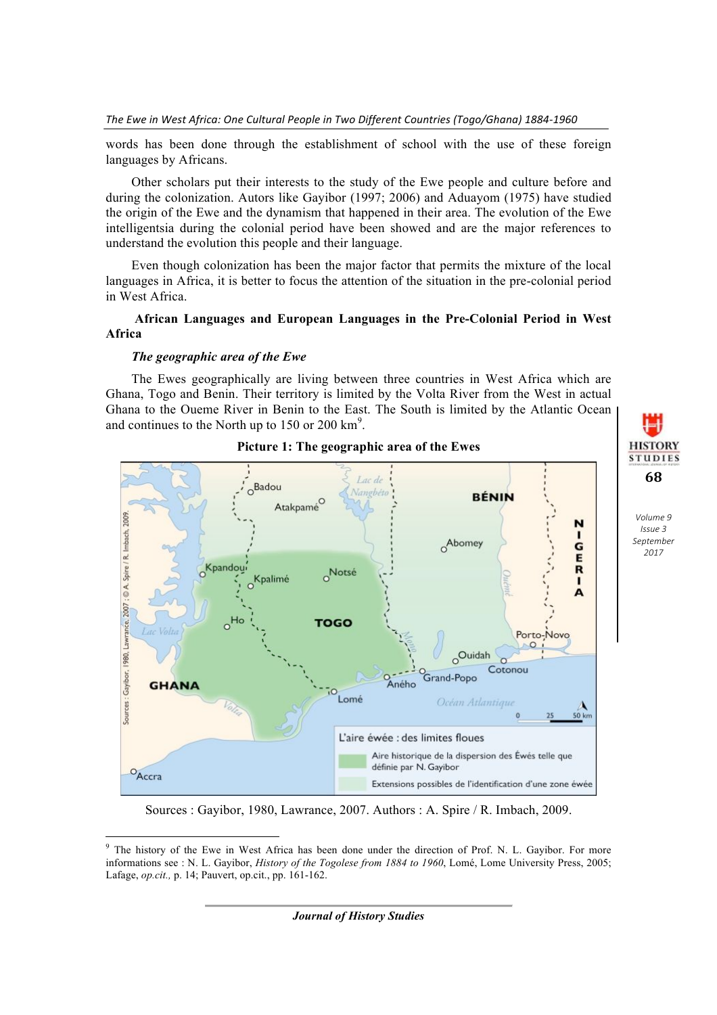words has been done through the establishment of school with the use of these foreign languages by Africans.

Other scholars put their interests to the study of the Ewe people and culture before and during the colonization. Autors like Gayibor (1997; 2006) and Aduayom (1975) have studied the origin of the Ewe and the dynamism that happened in their area. The evolution of the Ewe intelligentsia during the colonial period have been showed and are the major references to understand the evolution this people and their language.

Even though colonization has been the major factor that permits the mixture of the local languages in Africa, it is better to focus the attention of the situation in the pre-colonial period in West Africa.

## **African Languages and European Languages in the Pre-Colonial Period in West Africa**

## *The geographic area of the Ewe*

<u> 1989 - Johann Barn, mars eta bainar eta industrial eta baina eta baina eta baina eta baina eta baina eta bain</u>

The Ewes geographically are living between three countries in West Africa which are Ghana, Togo and Benin. Their territory is limited by the Volta River from the West in actual Ghana to the Oueme River in Benin to the East. The South is limited by the Atlantic Ocean and continues to the North up to 150 or 200  $\text{km}^9$ .



**Picture 1: The geographic area of the Ewes**

**68**

**HISTORY STUDIES** 

*Volume 9 Issue 3 September 2017*

Sources : Gayibor, 1980, Lawrance, 2007. Authors : A. Spire / R. Imbach, 2009.

The history of the Ewe in West Africa has been done under the direction of Prof. N. L. Gayibor. For more informations see : N. L. Gayibor, *History of the Togolese from 1884 to 1960*, Lomé, Lome University Press, 2005; Lafage, *op.cit.,* p. 14; Pauvert, op.cit., pp. 161-162.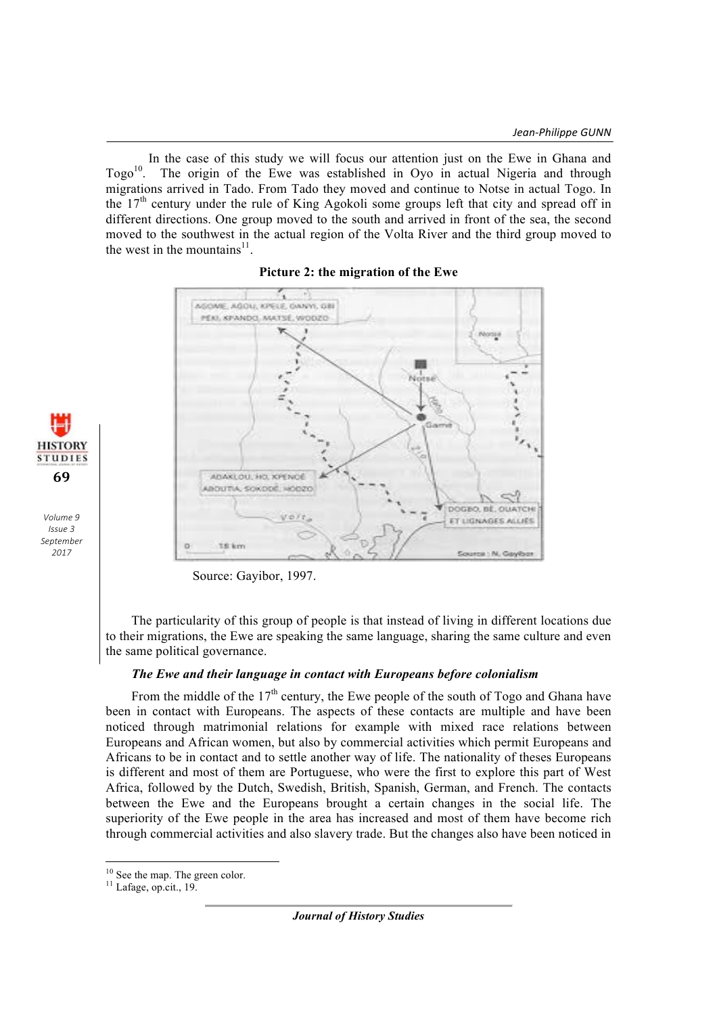In the case of this study we will focus our attention just on the Ewe in Ghana and Togo<sup>10</sup>. The origin of the Ewe was established in Ovo in actual Nigeria and through The origin of the Ewe was established in Oyo in actual Nigeria and through migrations arrived in Tado. From Tado they moved and continue to Notse in actual Togo. In the  $17<sup>th</sup>$  century under the rule of King Agokoli some groups left that city and spread off in different directions. One group moved to the south and arrived in front of the sea, the second moved to the southwest in the actual region of the Volta River and the third group moved to the west in the mountains<sup>11</sup>.

# **Picture 2: the migration of the Ewe**



*Volume 9 Issue 3 September 2017*

**69**

**HISTORY STUDIES** 

Source: Gayibor, 1997.

The particularity of this group of people is that instead of living in different locations due to their migrations, the Ewe are speaking the same language, sharing the same culture and even the same political governance.

# *The Ewe and their language in contact with Europeans before colonialism*

From the middle of the  $17<sup>th</sup>$  century, the Ewe people of the south of Togo and Ghana have been in contact with Europeans. The aspects of these contacts are multiple and have been noticed through matrimonial relations for example with mixed race relations between Europeans and African women, but also by commercial activities which permit Europeans and Africans to be in contact and to settle another way of life. The nationality of theses Europeans is different and most of them are Portuguese, who were the first to explore this part of West Africa, followed by the Dutch, Swedish, British, Spanish, German, and French. The contacts between the Ewe and the Europeans brought a certain changes in the social life. The superiority of the Ewe people in the area has increased and most of them have become rich through commercial activities and also slavery trade. But the changes also have been noticed in

<u> 1989 - Johann Barn, mars eta bainar eta industrial eta baina eta baina eta baina eta baina eta baina eta bain</u>

 $10^{10}$  See the map. The green color.<br> $11$  Lafage, op.cit., 19.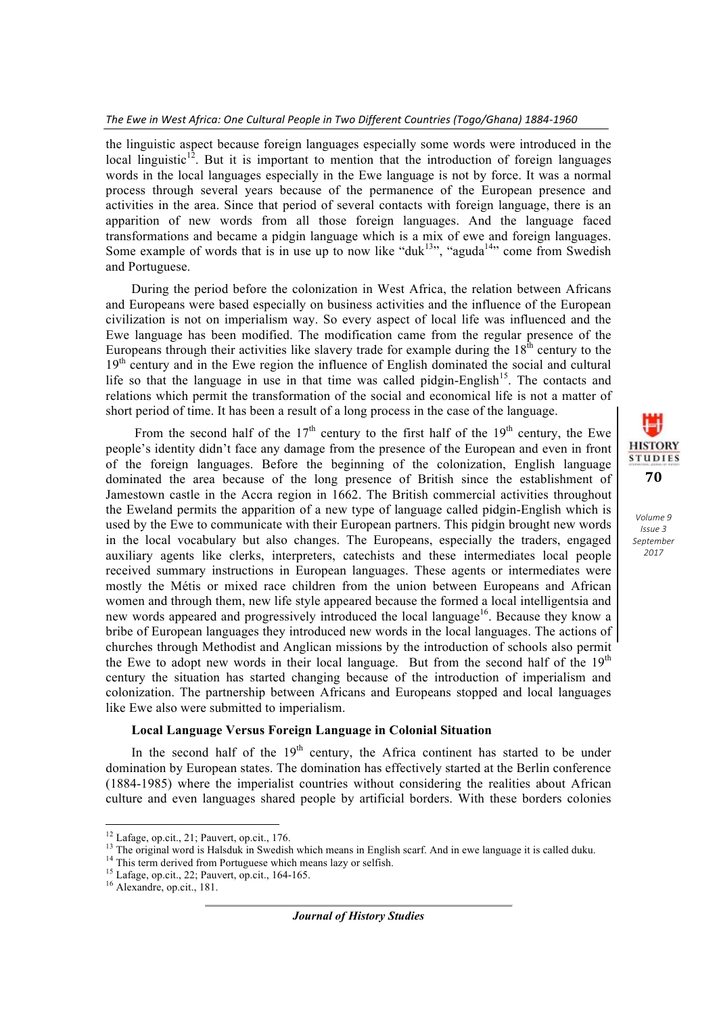the linguistic aspect because foreign languages especially some words were introduced in the local linguistic<sup>12</sup>. But it is important to mention that the introduction of foreign languages words in the local languages especially in the Ewe language is not by force. It was a normal process through several years because of the permanence of the European presence and activities in the area. Since that period of several contacts with foreign language, there is an apparition of new words from all those foreign languages. And the language faced transformations and became a pidgin language which is a mix of ewe and foreign languages. Some example of words that is in use up to now like "duk<sup>13"</sup>, "aguda<sup>14</sup>" come from Swedish and Portuguese.

During the period before the colonization in West Africa, the relation between Africans and Europeans were based especially on business activities and the influence of the European civilization is not on imperialism way. So every aspect of local life was influenced and the Ewe language has been modified. The modification came from the regular presence of the Europeans through their activities like slavery trade for example during the  $18<sup>th</sup>$  century to the 19<sup>th</sup> century and in the Ewe region the influence of English dominated the social and cultural life so that the language in use in that time was called pidgin-English<sup>15</sup>. The contacts and relations which permit the transformation of the social and economical life is not a matter of short period of time. It has been a result of a long process in the case of the language.

From the second half of the  $17<sup>th</sup>$  century to the first half of the  $19<sup>th</sup>$  century, the Ewe people's identity didn't face any damage from the presence of the European and even in front of the foreign languages. Before the beginning of the colonization, English language dominated the area because of the long presence of British since the establishment of Jamestown castle in the Accra region in 1662. The British commercial activities throughout the Eweland permits the apparition of a new type of language called pidgin-English which is used by the Ewe to communicate with their European partners. This pidgin brought new words in the local vocabulary but also changes. The Europeans, especially the traders, engaged auxiliary agents like clerks, interpreters, catechists and these intermediates local people received summary instructions in European languages. These agents or intermediates were mostly the Métis or mixed race children from the union between Europeans and African women and through them, new life style appeared because the formed a local intelligentsia and new words appeared and progressively introduced the local language<sup>16</sup>. Because they know a bribe of European languages they introduced new words in the local languages. The actions of churches through Methodist and Anglican missions by the introduction of schools also permit the Ewe to adopt new words in their local language. But from the second half of the  $19<sup>th</sup>$ century the situation has started changing because of the introduction of imperialism and colonization. The partnership between Africans and Europeans stopped and local languages like Ewe also were submitted to imperialism.

## **Local Language Versus Foreign Language in Colonial Situation**

In the second half of the  $19<sup>th</sup>$  century, the Africa continent has started to be under domination by European states. The domination has effectively started at the Berlin conference (1884-1985) where the imperialist countries without considering the realities about African culture and even languages shared people by artificial borders. With these borders colonies



<sup>&</sup>lt;sup>12</sup> Lafage, op.cit., 21; Pauvert, op.cit., 176.

<sup>&</sup>lt;sup>13</sup> The original word is Halsduk in Swedish which means in English scarf. And in ewe language it is called duku.<br><sup>14</sup> This term derived from Portuguese which means lazy or selfish.<br><sup>15</sup> Lafage, op.cit., 22; Pauvert, op.c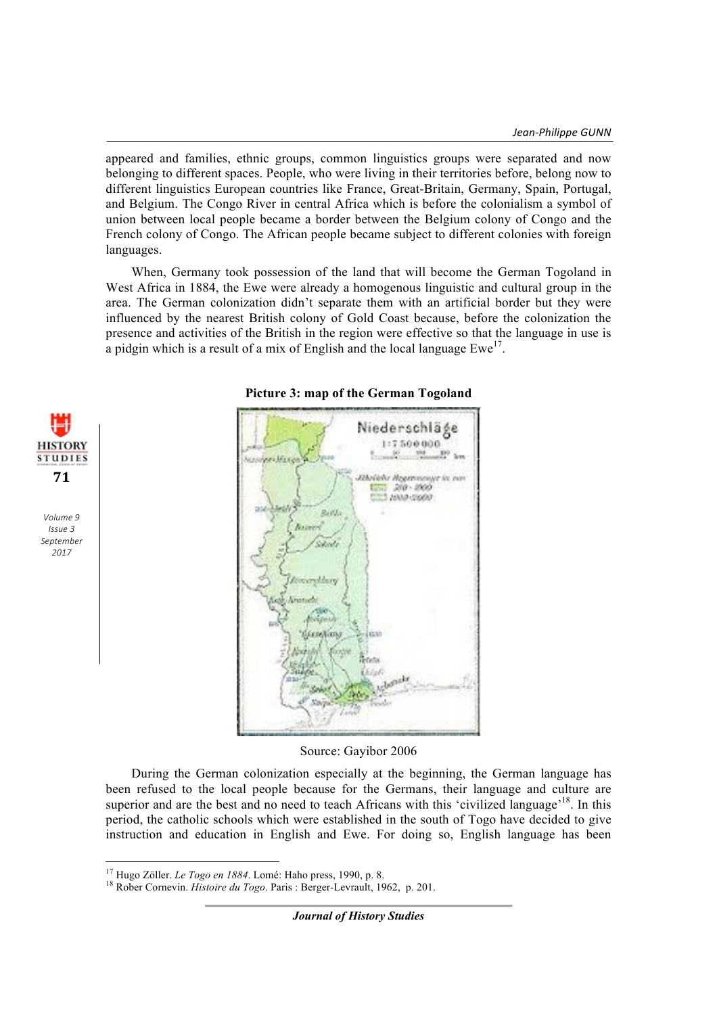appeared and families, ethnic groups, common linguistics groups were separated and now belonging to different spaces. People, who were living in their territories before, belong now to different linguistics European countries like France, Great-Britain, Germany, Spain, Portugal, and Belgium. The Congo River in central Africa which is before the colonialism a symbol of union between local people became a border between the Belgium colony of Congo and the French colony of Congo. The African people became subject to different colonies with foreign languages.

When, Germany took possession of the land that will become the German Togoland in West Africa in 1884, the Ewe were already a homogenous linguistic and cultural group in the area. The German colonization didn't separate them with an artificial border but they were influenced by the nearest British colony of Gold Coast because, before the colonization the presence and activities of the British in the region were effective so that the language in use is a pidgin which is a result of a mix of English and the local language  $Ewe^{17}$ .



#### **Picture 3: map of the German Togoland**

Source: Gayibor 2006

During the German colonization especially at the beginning, the German language has been refused to the local people because for the Germans, their language and culture are superior and are the best and no need to teach Africans with this 'civilized language'<sup>18</sup>. In this period, the catholic schools which were established in the south of Togo have decided to give instruction and education in English and Ewe. For doing so, English language has been

<u> 1989 - Johann Barn, mars eta bainar eta industrial eta baina eta baina eta baina eta baina eta baina eta bain</u>

**71**

**HISTORY** 

**STUDIES** 

*Volume 9 Issue 3 September 2017*

<sup>&</sup>lt;sup>17</sup> Hugo Zöller. *Le Togo en 1884*. Lomé: Haho press, 1990, p. 8.<br><sup>18</sup> Rober Cornevin. *Histoire du Togo*. Paris : Berger-Levrault, 1962, p. 201.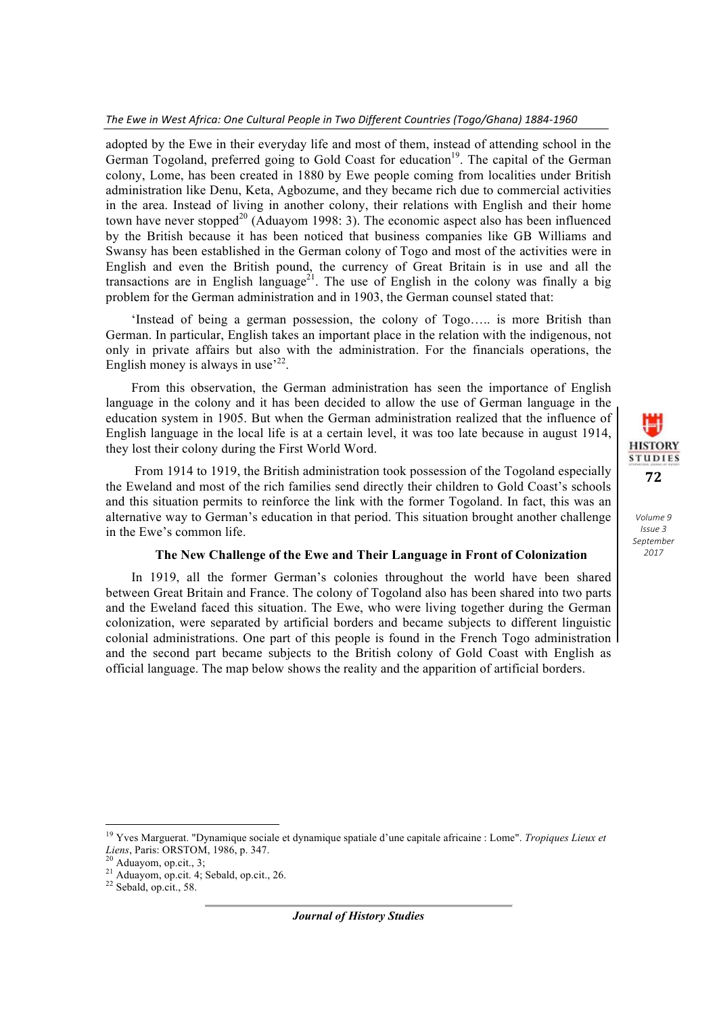#### The Ewe in West Africa: One Cultural People in Two Different Countries (Togo/Ghana) 1884-1960

adopted by the Ewe in their everyday life and most of them, instead of attending school in the German Togoland, preferred going to Gold Coast for education<sup>19</sup>. The capital of the German colony, Lome, has been created in 1880 by Ewe people coming from localities under British administration like Denu, Keta, Agbozume, and they became rich due to commercial activities in the area. Instead of living in another colony, their relations with English and their home town have never stopped<sup>20</sup> (Aduayom 1998: 3). The economic aspect also has been influenced by the British because it has been noticed that business companies like GB Williams and Swansy has been established in the German colony of Togo and most of the activities were in English and even the British pound, the currency of Great Britain is in use and all the transactions are in English language<sup>21</sup>. The use of English in the colony was finally a big problem for the German administration and in 1903, the German counsel stated that:

'Instead of being a german possession, the colony of Togo….. is more British than German. In particular, English takes an important place in the relation with the indigenous, not only in private affairs but also with the administration. For the financials operations, the English money is always in use<sup> $22$ </sup>.

From this observation, the German administration has seen the importance of English language in the colony and it has been decided to allow the use of German language in the education system in 1905. But when the German administration realized that the influence of English language in the local life is at a certain level, it was too late because in august 1914, they lost their colony during the First World Word.

From 1914 to 1919, the British administration took possession of the Togoland especially the Eweland and most of the rich families send directly their children to Gold Coast's schools and this situation permits to reinforce the link with the former Togoland. In fact, this was an alternative way to German's education in that period. This situation brought another challenge in the Ewe's common life.

# **The New Challenge of the Ewe and Their Language in Front of Colonization**

In 1919, all the former German's colonies throughout the world have been shared between Great Britain and France. The colony of Togoland also has been shared into two parts and the Eweland faced this situation. The Ewe, who were living together during the German colonization, were separated by artificial borders and became subjects to different linguistic colonial administrations. One part of this people is found in the French Togo administration and the second part became subjects to the British colony of Gold Coast with English as official language. The map below shows the reality and the apparition of artificial borders.



*Volume 9 Issue 3 September 2017*

<u> 1989 - Johann Barn, mars ann an t-Amhain an t-Amhain an t-Amhain an t-Amhain an t-Amhain an t-Amhain an t-Amh</u>

<sup>19</sup> Yves Marguerat. "Dynamique sociale et dynamique spatiale d'une capitale africaine : Lome". *Tropiques Lieux et Liens*, Paris: ORSTOM, 1986, p. 347.<br><sup>20</sup> Aduayom, op.cit., 3;<br><sup>21</sup> Aduayom, op.cit. 4; Sebald, op.cit., 26.<br><sup>22</sup> Sebald, op.cit., 58.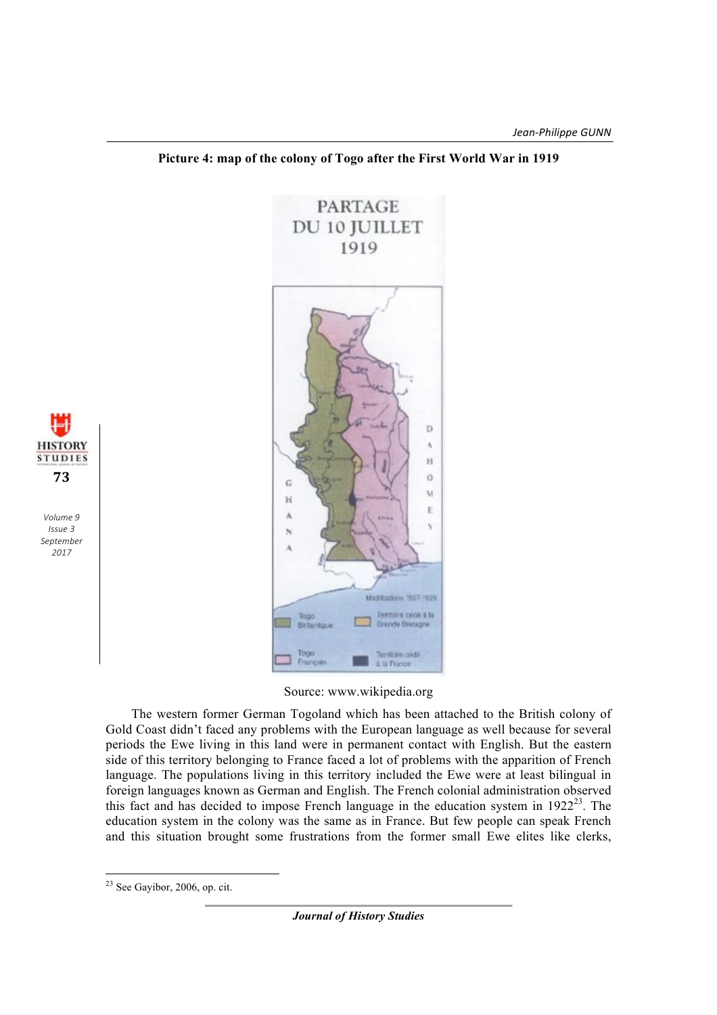# **Picture 4: map of the colony of Togo after the First World War in 1919**

**PARTAGE** 



Source: www.wikipedia.org

The western former German Togoland which has been attached to the British colony of Gold Coast didn't faced any problems with the European language as well because for several periods the Ewe living in this land were in permanent contact with English. But the eastern side of this territory belonging to France faced a lot of problems with the apparition of French language. The populations living in this territory included the Ewe were at least bilingual in foreign languages known as German and English. The French colonial administration observed this fact and has decided to impose French language in the education system in  $1922^{23}$ . The education system in the colony was the same as in France. But few people can speak French and this situation brought some frustrations from the former small Ewe elites like clerks,

<u> 1989 - Johann Barn, mars ann an t-Amhain an t-Amhain an t-Amhain an t-Amhain an t-Amhain an t-Amhain an t-Amh</u>

**73**

**HISTORY** 

**STUDIES** 

*Volume 9 Issue 3 September 2017*

 $2<sup>23</sup>$  See Gayibor, 2006, op. cit.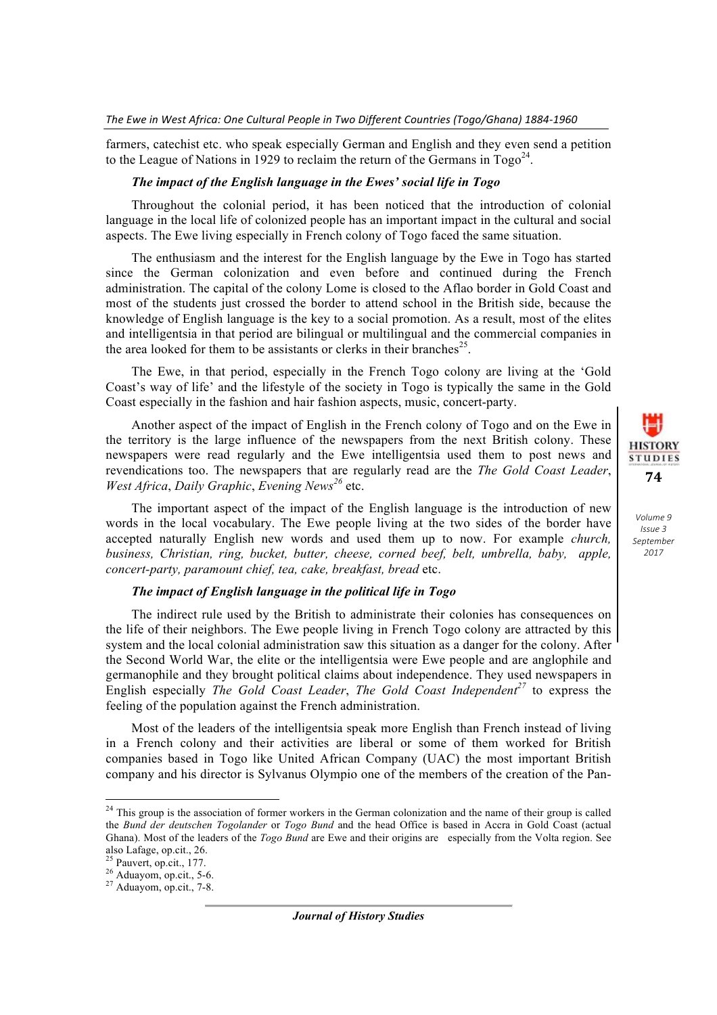farmers, catechist etc. who speak especially German and English and they even send a petition to the League of Nations in 1929 to reclaim the return of the Germans in  $Togo^{24}$ .

# *The impact of the English language in the Ewes' social life in Togo*

Throughout the colonial period, it has been noticed that the introduction of colonial language in the local life of colonized people has an important impact in the cultural and social aspects. The Ewe living especially in French colony of Togo faced the same situation.

The enthusiasm and the interest for the English language by the Ewe in Togo has started since the German colonization and even before and continued during the French administration. The capital of the colony Lome is closed to the Aflao border in Gold Coast and most of the students just crossed the border to attend school in the British side, because the knowledge of English language is the key to a social promotion. As a result, most of the elites and intelligentsia in that period are bilingual or multilingual and the commercial companies in the area looked for them to be assistants or clerks in their branches<sup>25</sup>.

The Ewe, in that period, especially in the French Togo colony are living at the 'Gold Coast's way of life' and the lifestyle of the society in Togo is typically the same in the Gold Coast especially in the fashion and hair fashion aspects, music, concert-party.

Another aspect of the impact of English in the French colony of Togo and on the Ewe in the territory is the large influence of the newspapers from the next British colony. These newspapers were read regularly and the Ewe intelligentsia used them to post news and revendications too. The newspapers that are regularly read are the *The Gold Coast Leader*, *West Africa*, *Daily Graphic*, *Evening News<sup>26</sup>* etc.

The important aspect of the impact of the English language is the introduction of new words in the local vocabulary. The Ewe people living at the two sides of the border have accepted naturally English new words and used them up to now. For example *church, business, Christian, ring, bucket, butter, cheese, corned beef, belt, umbrella, baby, apple, concert-party, paramount chief, tea, cake, breakfast, bread* etc.

# *The impact of English language in the political life in Togo*

The indirect rule used by the British to administrate their colonies has consequences on the life of their neighbors. The Ewe people living in French Togo colony are attracted by this system and the local colonial administration saw this situation as a danger for the colony. After the Second World War, the elite or the intelligentsia were Ewe people and are anglophile and germanophile and they brought political claims about independence. They used newspapers in English especially *The Gold Coast Leader*, *The Gold Coast Independent*<sup>27</sup> to express the feeling of the population against the French administration.

Most of the leaders of the intelligentsia speak more English than French instead of living in a French colony and their activities are liberal or some of them worked for British companies based in Togo like United African Company (UAC) the most important British company and his director is Sylvanus Olympio one of the members of the creation of the Pan-

*Journal of History Studies*



<sup>&</sup>lt;sup>24</sup> This group is the association of former workers in the German colonization and the name of their group is called the *Bund der deutschen Togolander* or *Togo Bund* and the head Office is based in Accra in Gold Coast (actual Ghana). Most of the leaders of the *Togo Bund* are Ewe and their origins are especially from the Volta region. See also Lafage, op.cit., 26.<br><sup>25</sup> Pauvert, op.cit., 177.

 $26$  Aduayom, op.cit., 5-6.<br> $27$  Aduayom, op.cit., 7-8.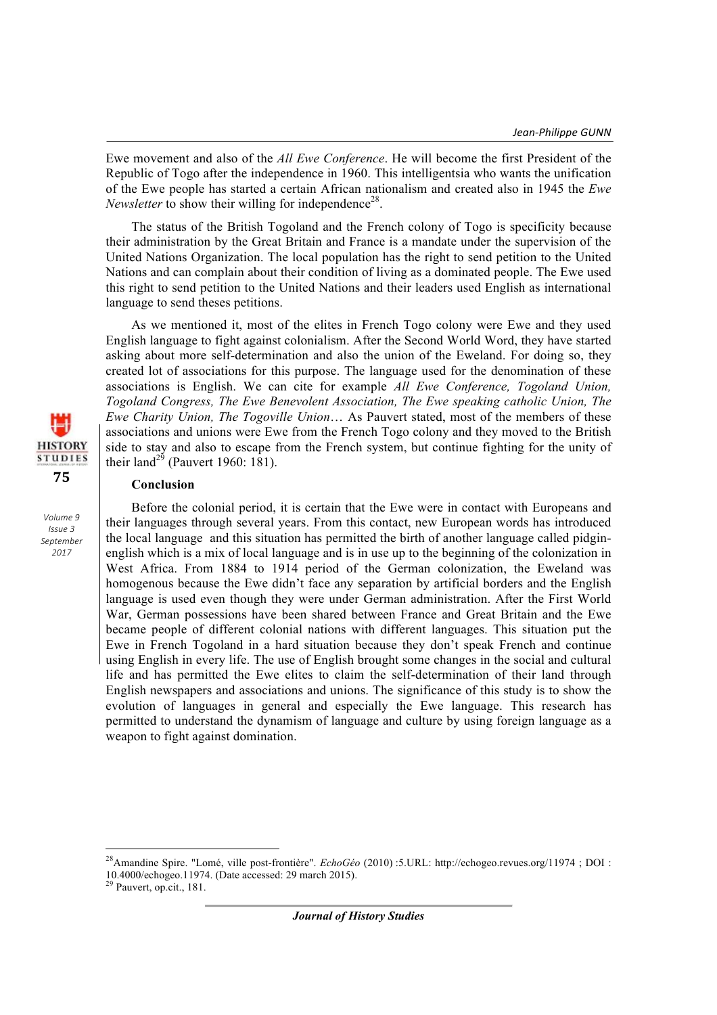Ewe movement and also of the *All Ewe Conference*. He will become the first President of the Republic of Togo after the independence in 1960. This intelligentsia who wants the unification of the Ewe people has started a certain African nationalism and created also in 1945 the *Ewe Newsletter* to show their willing for independence<sup>28</sup>.

The status of the British Togoland and the French colony of Togo is specificity because their administration by the Great Britain and France is a mandate under the supervision of the United Nations Organization. The local population has the right to send petition to the United Nations and can complain about their condition of living as a dominated people. The Ewe used this right to send petition to the United Nations and their leaders used English as international language to send theses petitions.

As we mentioned it, most of the elites in French Togo colony were Ewe and they used English language to fight against colonialism. After the Second World Word, they have started asking about more self-determination and also the union of the Eweland. For doing so, they created lot of associations for this purpose. The language used for the denomination of these associations is English. We can cite for example *All Ewe Conference, Togoland Union, Togoland Congress, The Ewe Benevolent Association, The Ewe speaking catholic Union, The Ewe Charity Union, The Togoville Union*… As Pauvert stated, most of the members of these associations and unions were Ewe from the French Togo colony and they moved to the British side to stay and also to escape from the French system, but continue fighting for the unity of their land<sup>29</sup> (Pauvert 1960: 181).

#### **Conclusion**

**75**

**HISTORY STUDIES** 

*Volume 9 Issue 3 September 2017*

Before the colonial period, it is certain that the Ewe were in contact with Europeans and their languages through several years. From this contact, new European words has introduced the local language and this situation has permitted the birth of another language called pidginenglish which is a mix of local language and is in use up to the beginning of the colonization in West Africa. From 1884 to 1914 period of the German colonization, the Eweland was homogenous because the Ewe didn't face any separation by artificial borders and the English language is used even though they were under German administration. After the First World War, German possessions have been shared between France and Great Britain and the Ewe became people of different colonial nations with different languages. This situation put the Ewe in French Togoland in a hard situation because they don't speak French and continue using English in every life. The use of English brought some changes in the social and cultural life and has permitted the Ewe elites to claim the self-determination of their land through English newspapers and associations and unions. The significance of this study is to show the evolution of languages in general and especially the Ewe language. This research has permitted to understand the dynamism of language and culture by using foreign language as a weapon to fight against domination.

<u> 1989 - Johann Barn, mars ann an t-Amhain an t-Amhain an t-Amhain an t-Amhain an t-Amhain an t-Amhain an t-Amh</u>

<sup>28</sup>Amandine Spire. "Lomé, ville post-frontière". *EchoGéo* (2010) :5.URL: http://echogeo.revues.org/11974 ; DOI :

<sup>10.4000/</sup>echogeo.11974. (Date accessed: 29 march 2015).

<sup>&</sup>lt;sup>29</sup> Pauvert, op.cit., 181.